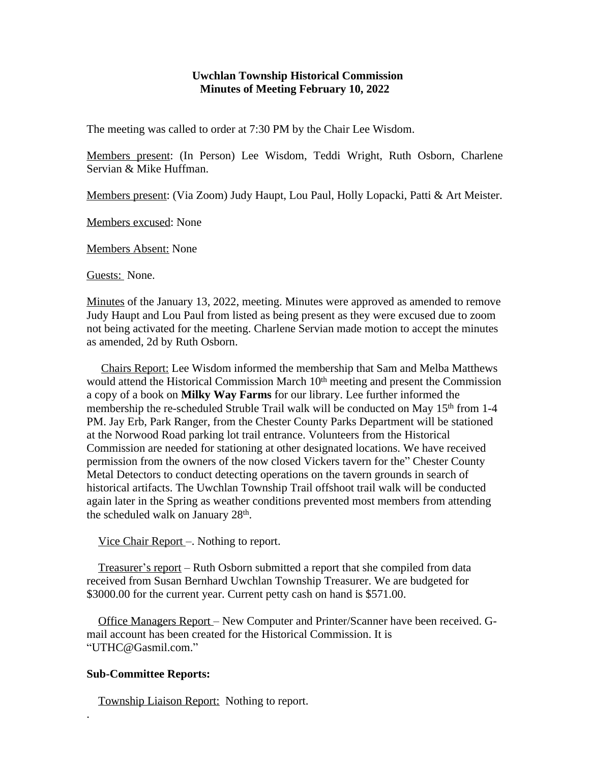## **Uwchlan Township Historical Commission Minutes of Meeting February 10, 2022**

The meeting was called to order at 7:30 PM by the Chair Lee Wisdom.

Members present: (In Person) Lee Wisdom, Teddi Wright, Ruth Osborn, Charlene Servian & Mike Huffman.

Members present: (Via Zoom) Judy Haupt, Lou Paul, Holly Lopacki, Patti & Art Meister.

Members excused: None

Members Absent: None

Guests: None.

Minutes of the January 13, 2022, meeting. Minutes were approved as amended to remove Judy Haupt and Lou Paul from listed as being present as they were excused due to zoom not being activated for the meeting. Charlene Servian made motion to accept the minutes as amended, 2d by Ruth Osborn.

 Chairs Report: Lee Wisdom informed the membership that Sam and Melba Matthews would attend the Historical Commission March 10<sup>th</sup> meeting and present the Commission a copy of a book on **Milky Way Farms** for our library. Lee further informed the membership the re-scheduled Struble Trail walk will be conducted on May 15<sup>th</sup> from 1-4 PM. Jay Erb, Park Ranger, from the Chester County Parks Department will be stationed at the Norwood Road parking lot trail entrance. Volunteers from the Historical Commission are needed for stationing at other designated locations. We have received permission from the owners of the now closed Vickers tavern for the" Chester County Metal Detectors to conduct detecting operations on the tavern grounds in search of historical artifacts. The Uwchlan Township Trail offshoot trail walk will be conducted again later in the Spring as weather conditions prevented most members from attending the scheduled walk on January 28<sup>th</sup>.

Vice Chair Report –. Nothing to report.

 Treasurer's report – Ruth Osborn submitted a report that she compiled from data received from Susan Bernhard Uwchlan Township Treasurer. We are budgeted for \$3000.00 for the current year. Current petty cash on hand is \$571.00.

 Office Managers Report – New Computer and Printer/Scanner have been received. Gmail account has been created for the Historical Commission. It is "UTHC@Gasmil.com."

## **Sub-Committee Reports:**

.

Township Liaison Report: Nothing to report.